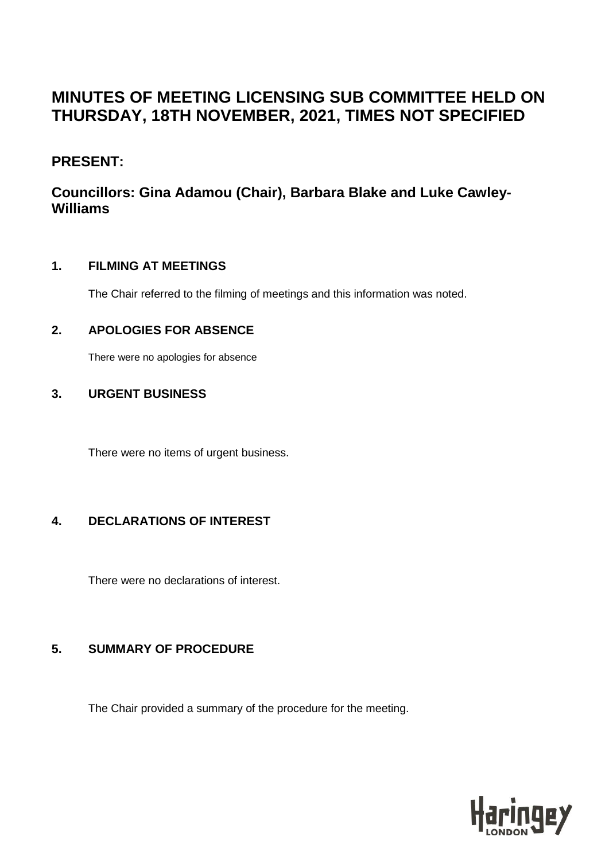# **MINUTES OF MEETING LICENSING SUB COMMITTEE HELD ON THURSDAY, 18TH NOVEMBER, 2021, TIMES NOT SPECIFIED**

## **PRESENT:**

# **Councillors: Gina Adamou (Chair), Barbara Blake and Luke Cawley-Williams**

#### **1. FILMING AT MEETINGS**

The Chair referred to the filming of meetings and this information was noted.

## **2. APOLOGIES FOR ABSENCE**

There were no apologies for absence

#### **3. URGENT BUSINESS**

There were no items of urgent business.

## **4. DECLARATIONS OF INTEREST**

There were no declarations of interest.

## **5. SUMMARY OF PROCEDURE**

The Chair provided a summary of the procedure for the meeting.

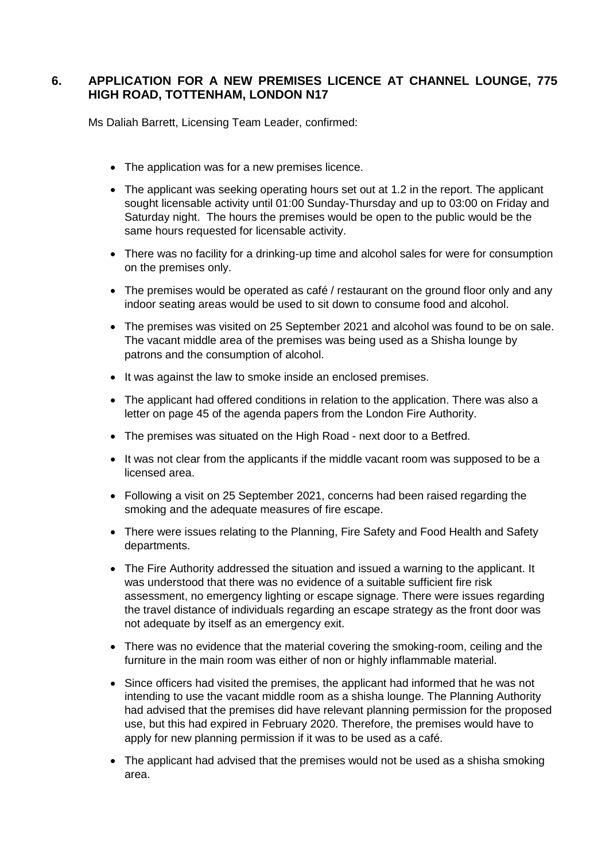#### **6. APPLICATION FOR A NEW PREMISES LICENCE AT CHANNEL LOUNGE, 775 HIGH ROAD, TOTTENHAM, LONDON N17**

Ms Daliah Barrett, Licensing Team Leader, confirmed:

- The application was for a new premises licence.
- The applicant was seeking operating hours set out at 1.2 in the report. The applicant sought licensable activity until 01:00 Sunday-Thursday and up to 03:00 on Friday and Saturday night. The hours the premises would be open to the public would be the same hours requested for licensable activity.
- There was no facility for a drinking-up time and alcohol sales for were for consumption on the premises only.
- The premises would be operated as café / restaurant on the ground floor only and any indoor seating areas would be used to sit down to consume food and alcohol.
- The premises was visited on 25 September 2021 and alcohol was found to be on sale. The vacant middle area of the premises was being used as a Shisha lounge by patrons and the consumption of alcohol.
- It was against the law to smoke inside an enclosed premises.
- The applicant had offered conditions in relation to the application. There was also a letter on page 45 of the agenda papers from the London Fire Authority.
- The premises was situated on the High Road next door to a Betfred.
- It was not clear from the applicants if the middle vacant room was supposed to be a licensed area.
- Following a visit on 25 September 2021, concerns had been raised regarding the smoking and the adequate measures of fire escape.
- There were issues relating to the Planning, Fire Safety and Food Health and Safety departments.
- The Fire Authority addressed the situation and issued a warning to the applicant. It was understood that there was no evidence of a suitable sufficient fire risk assessment, no emergency lighting or escape signage. There were issues regarding the travel distance of individuals regarding an escape strategy as the front door was not adequate by itself as an emergency exit.
- There was no evidence that the material covering the smoking-room, ceiling and the furniture in the main room was either of non or highly inflammable material.
- Since officers had visited the premises, the applicant had informed that he was not intending to use the vacant middle room as a shisha lounge. The Planning Authority had advised that the premises did have relevant planning permission for the proposed use, but this had expired in February 2020. Therefore, the premises would have to apply for new planning permission if it was to be used as a café.
- The applicant had advised that the premises would not be used as a shisha smoking area.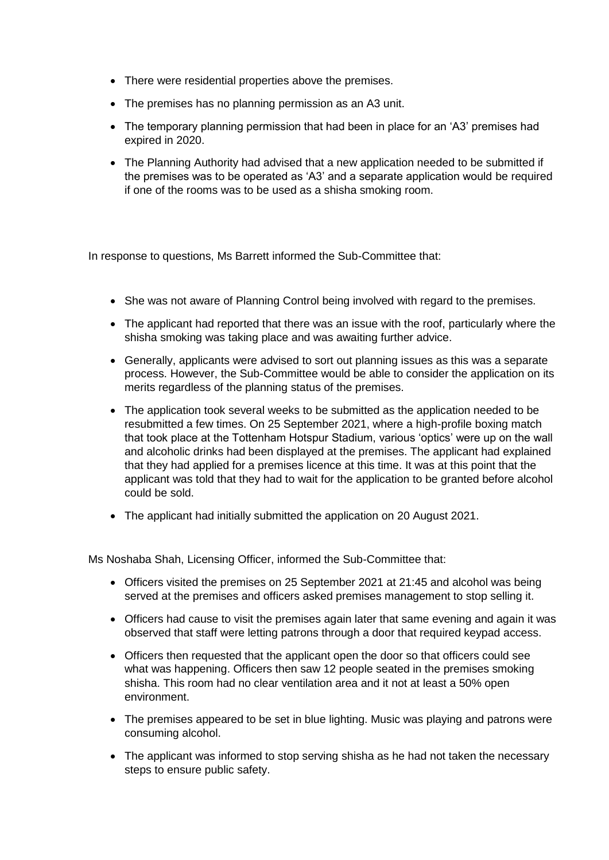- There were residential properties above the premises.
- The premises has no planning permission as an A3 unit.
- The temporary planning permission that had been in place for an 'A3' premises had expired in 2020.
- The Planning Authority had advised that a new application needed to be submitted if the premises was to be operated as 'A3' and a separate application would be required if one of the rooms was to be used as a shisha smoking room.

In response to questions, Ms Barrett informed the Sub-Committee that:

- She was not aware of Planning Control being involved with regard to the premises.
- The applicant had reported that there was an issue with the roof, particularly where the shisha smoking was taking place and was awaiting further advice.
- Generally, applicants were advised to sort out planning issues as this was a separate process. However, the Sub-Committee would be able to consider the application on its merits regardless of the planning status of the premises.
- The application took several weeks to be submitted as the application needed to be resubmitted a few times. On 25 September 2021, where a high-profile boxing match that took place at the Tottenham Hotspur Stadium, various 'optics' were up on the wall and alcoholic drinks had been displayed at the premises. The applicant had explained that they had applied for a premises licence at this time. It was at this point that the applicant was told that they had to wait for the application to be granted before alcohol could be sold.
- The applicant had initially submitted the application on 20 August 2021.

Ms Noshaba Shah, Licensing Officer, informed the Sub-Committee that:

- Officers visited the premises on 25 September 2021 at 21:45 and alcohol was being served at the premises and officers asked premises management to stop selling it.
- Officers had cause to visit the premises again later that same evening and again it was observed that staff were letting patrons through a door that required keypad access.
- Officers then requested that the applicant open the door so that officers could see what was happening. Officers then saw 12 people seated in the premises smoking shisha. This room had no clear ventilation area and it not at least a 50% open environment.
- The premises appeared to be set in blue lighting. Music was playing and patrons were consuming alcohol.
- The applicant was informed to stop serving shisha as he had not taken the necessary steps to ensure public safety.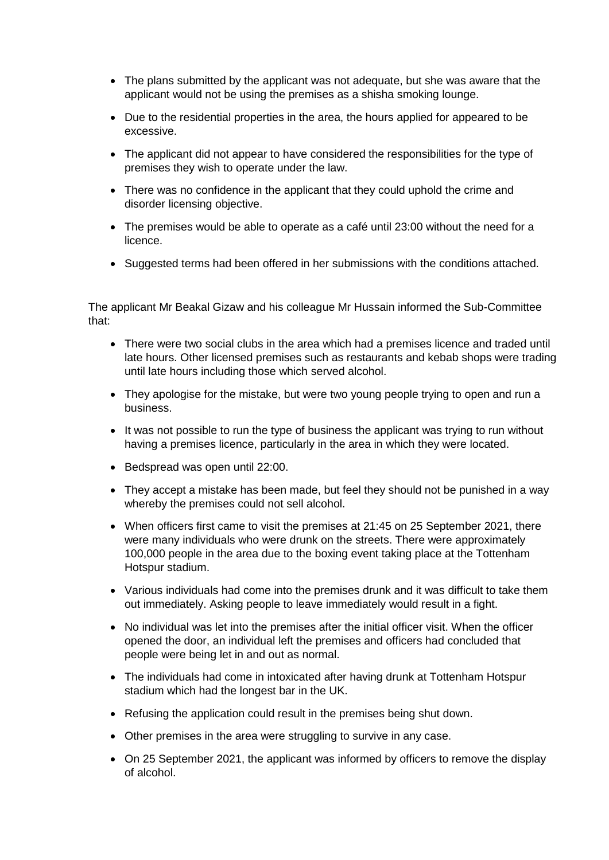- The plans submitted by the applicant was not adequate, but she was aware that the applicant would not be using the premises as a shisha smoking lounge.
- Due to the residential properties in the area, the hours applied for appeared to be excessive.
- The applicant did not appear to have considered the responsibilities for the type of premises they wish to operate under the law.
- There was no confidence in the applicant that they could uphold the crime and disorder licensing objective.
- The premises would be able to operate as a café until 23:00 without the need for a licence.
- Suggested terms had been offered in her submissions with the conditions attached.

The applicant Mr Beakal Gizaw and his colleague Mr Hussain informed the Sub-Committee that:

- There were two social clubs in the area which had a premises licence and traded until late hours. Other licensed premises such as restaurants and kebab shops were trading until late hours including those which served alcohol.
- They apologise for the mistake, but were two young people trying to open and run a business.
- It was not possible to run the type of business the applicant was trying to run without having a premises licence, particularly in the area in which they were located.
- Bedspread was open until 22:00.
- They accept a mistake has been made, but feel they should not be punished in a way whereby the premises could not sell alcohol.
- When officers first came to visit the premises at 21:45 on 25 September 2021, there were many individuals who were drunk on the streets. There were approximately 100,000 people in the area due to the boxing event taking place at the Tottenham Hotspur stadium.
- Various individuals had come into the premises drunk and it was difficult to take them out immediately. Asking people to leave immediately would result in a fight.
- No individual was let into the premises after the initial officer visit. When the officer opened the door, an individual left the premises and officers had concluded that people were being let in and out as normal.
- The individuals had come in intoxicated after having drunk at Tottenham Hotspur stadium which had the longest bar in the UK.
- Refusing the application could result in the premises being shut down.
- Other premises in the area were struggling to survive in any case.
- On 25 September 2021, the applicant was informed by officers to remove the display of alcohol.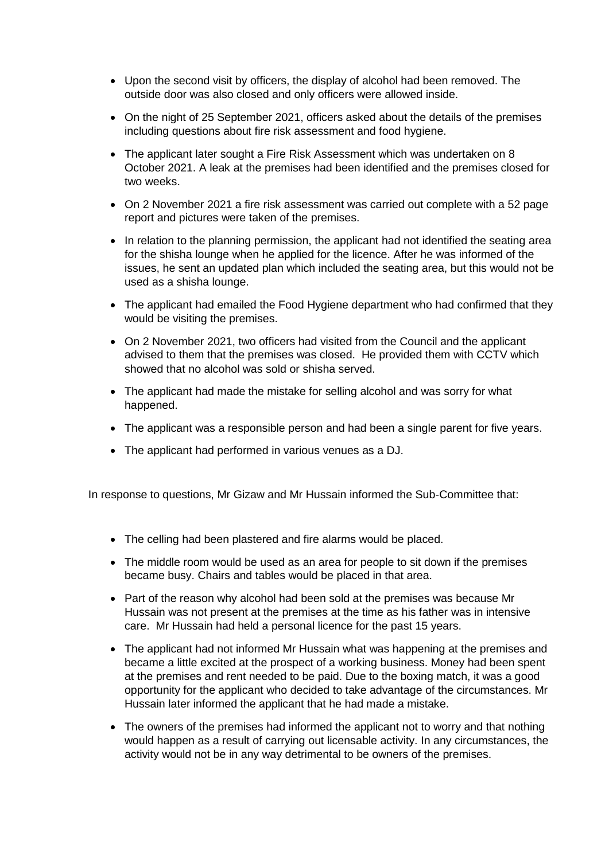- Upon the second visit by officers, the display of alcohol had been removed. The outside door was also closed and only officers were allowed inside.
- On the night of 25 September 2021, officers asked about the details of the premises including questions about fire risk assessment and food hygiene.
- The applicant later sought a Fire Risk Assessment which was undertaken on 8 October 2021. A leak at the premises had been identified and the premises closed for two weeks.
- On 2 November 2021 a fire risk assessment was carried out complete with a 52 page report and pictures were taken of the premises.
- In relation to the planning permission, the applicant had not identified the seating area for the shisha lounge when he applied for the licence. After he was informed of the issues, he sent an updated plan which included the seating area, but this would not be used as a shisha lounge.
- The applicant had emailed the Food Hygiene department who had confirmed that they would be visiting the premises.
- On 2 November 2021, two officers had visited from the Council and the applicant advised to them that the premises was closed. He provided them with CCTV which showed that no alcohol was sold or shisha served.
- The applicant had made the mistake for selling alcohol and was sorry for what happened.
- The applicant was a responsible person and had been a single parent for five years.
- The applicant had performed in various venues as a DJ.

In response to questions, Mr Gizaw and Mr Hussain informed the Sub-Committee that:

- The celling had been plastered and fire alarms would be placed.
- The middle room would be used as an area for people to sit down if the premises became busy. Chairs and tables would be placed in that area.
- Part of the reason why alcohol had been sold at the premises was because Mr Hussain was not present at the premises at the time as his father was in intensive care. Mr Hussain had held a personal licence for the past 15 years.
- The applicant had not informed Mr Hussain what was happening at the premises and became a little excited at the prospect of a working business. Money had been spent at the premises and rent needed to be paid. Due to the boxing match, it was a good opportunity for the applicant who decided to take advantage of the circumstances. Mr Hussain later informed the applicant that he had made a mistake.
- The owners of the premises had informed the applicant not to worry and that nothing would happen as a result of carrying out licensable activity. In any circumstances, the activity would not be in any way detrimental to be owners of the premises.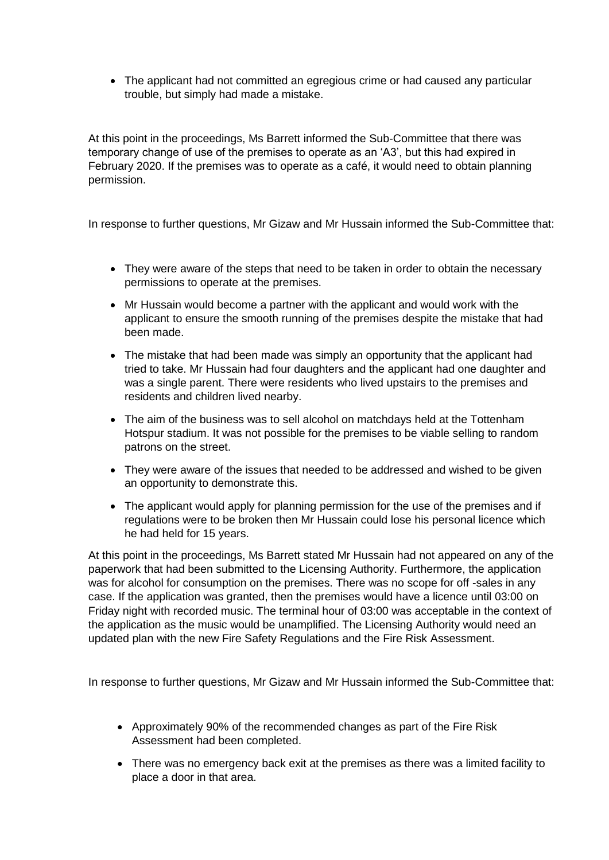The applicant had not committed an egregious crime or had caused any particular trouble, but simply had made a mistake.

At this point in the proceedings, Ms Barrett informed the Sub-Committee that there was temporary change of use of the premises to operate as an 'A3', but this had expired in February 2020. If the premises was to operate as a café, it would need to obtain planning permission.

In response to further questions, Mr Gizaw and Mr Hussain informed the Sub-Committee that:

- They were aware of the steps that need to be taken in order to obtain the necessary permissions to operate at the premises.
- Mr Hussain would become a partner with the applicant and would work with the applicant to ensure the smooth running of the premises despite the mistake that had been made.
- The mistake that had been made was simply an opportunity that the applicant had tried to take. Mr Hussain had four daughters and the applicant had one daughter and was a single parent. There were residents who lived upstairs to the premises and residents and children lived nearby.
- The aim of the business was to sell alcohol on matchdays held at the Tottenham Hotspur stadium. It was not possible for the premises to be viable selling to random patrons on the street.
- They were aware of the issues that needed to be addressed and wished to be given an opportunity to demonstrate this.
- The applicant would apply for planning permission for the use of the premises and if regulations were to be broken then Mr Hussain could lose his personal licence which he had held for 15 years.

At this point in the proceedings, Ms Barrett stated Mr Hussain had not appeared on any of the paperwork that had been submitted to the Licensing Authority. Furthermore, the application was for alcohol for consumption on the premises. There was no scope for off -sales in any case. If the application was granted, then the premises would have a licence until 03:00 on Friday night with recorded music. The terminal hour of 03:00 was acceptable in the context of the application as the music would be unamplified. The Licensing Authority would need an updated plan with the new Fire Safety Regulations and the Fire Risk Assessment.

In response to further questions, Mr Gizaw and Mr Hussain informed the Sub-Committee that:

- Approximately 90% of the recommended changes as part of the Fire Risk Assessment had been completed.
- There was no emergency back exit at the premises as there was a limited facility to place a door in that area.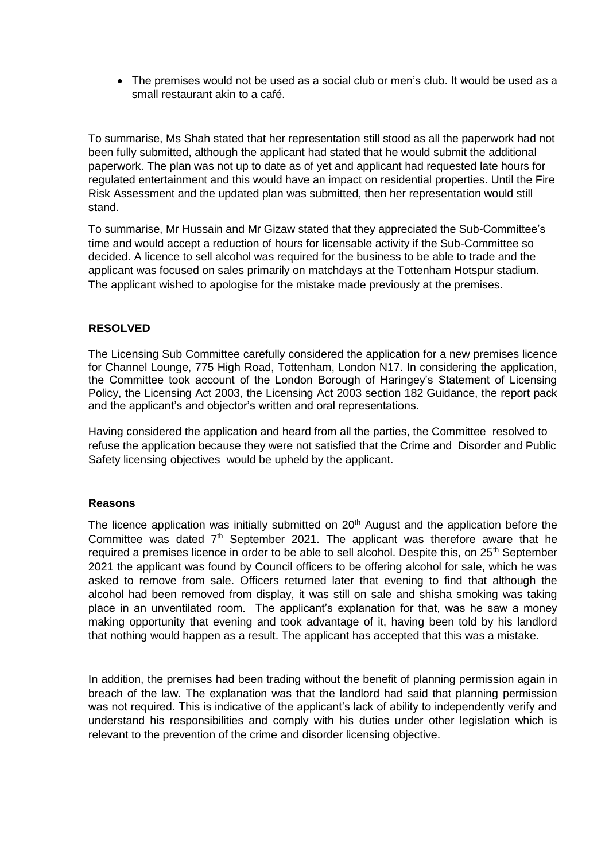• The premises would not be used as a social club or men's club. It would be used as a small restaurant akin to a café.

To summarise, Ms Shah stated that her representation still stood as all the paperwork had not been fully submitted, although the applicant had stated that he would submit the additional paperwork. The plan was not up to date as of yet and applicant had requested late hours for regulated entertainment and this would have an impact on residential properties. Until the Fire Risk Assessment and the updated plan was submitted, then her representation would still stand.

To summarise, Mr Hussain and Mr Gizaw stated that they appreciated the Sub-Committee's time and would accept a reduction of hours for licensable activity if the Sub-Committee so decided. A licence to sell alcohol was required for the business to be able to trade and the applicant was focused on sales primarily on matchdays at the Tottenham Hotspur stadium. The applicant wished to apologise for the mistake made previously at the premises.

#### **RESOLVED**

The Licensing Sub Committee carefully considered the application for a new premises licence for Channel Lounge, 775 High Road, Tottenham, London N17. In considering the application, the Committee took account of the London Borough of Haringey's Statement of Licensing Policy, the Licensing Act 2003, the Licensing Act 2003 section 182 Guidance, the report pack and the applicant's and objector's written and oral representations.

Having considered the application and heard from all the parties, the Committee resolved to refuse the application because they were not satisfied that the Crime and Disorder and Public Safety licensing objectives would be upheld by the applicant.

#### **Reasons**

The licence application was initially submitted on 20<sup>th</sup> August and the application before the Committee was dated  $7<sup>th</sup>$  September 2021. The applicant was therefore aware that he required a premises licence in order to be able to sell alcohol. Despite this, on 25<sup>th</sup> September 2021 the applicant was found by Council officers to be offering alcohol for sale, which he was asked to remove from sale. Officers returned later that evening to find that although the alcohol had been removed from display, it was still on sale and shisha smoking was taking place in an unventilated room. The applicant's explanation for that, was he saw a money making opportunity that evening and took advantage of it, having been told by his landlord that nothing would happen as a result. The applicant has accepted that this was a mistake.

In addition, the premises had been trading without the benefit of planning permission again in breach of the law. The explanation was that the landlord had said that planning permission was not required. This is indicative of the applicant's lack of ability to independently verify and understand his responsibilities and comply with his duties under other legislation which is relevant to the prevention of the crime and disorder licensing objective.